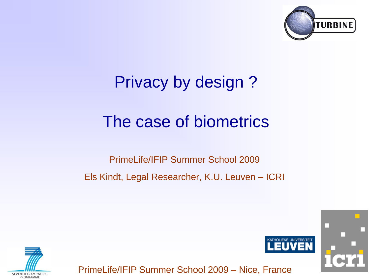

## Privacy by design ?

## The case of biometrics

### PrimeLife/IFIP Summer School 2009 Els Kindt, Legal Researcher, K.U. Leuven – ICRI



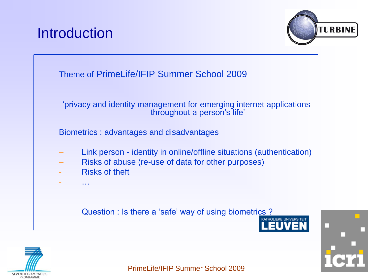## **Introduction**





#### "privacy and identity management for emerging internet applications throughout a person's life"

Biometrics : advantages and disadvantages

- Link person identity in online/offline situations (authentication)
- Risks of abuse (re-use of data for other purposes)
- **Risks of theft**

- …

#### Question : Is there a 'safe' way of using biometrics ?





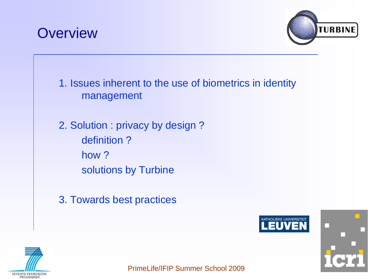## **Overview**



1. Issues inherent to the use of biometrics in identity management

2. Solution : privacy by design ? definition ? how ? solutions by Turbine

3. Towards best practices



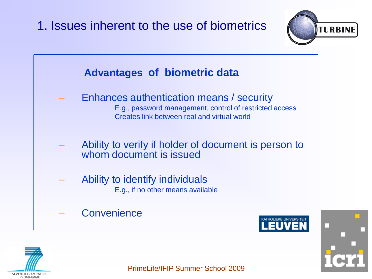



- E.g., if no other means available
- **Convenience**



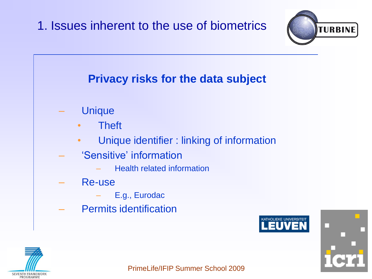

### **Privacy risks for the data subject**

- **Unique** 
	- Theft
	- Unique identifier : linking of information
- 'Sensitive' information
	- Health related information
- Re-use
	- E.g., Eurodac
- Permits identification



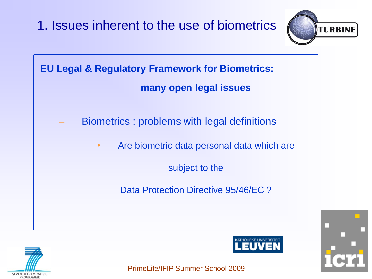









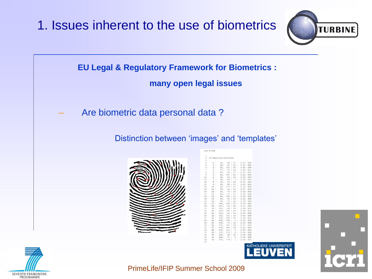







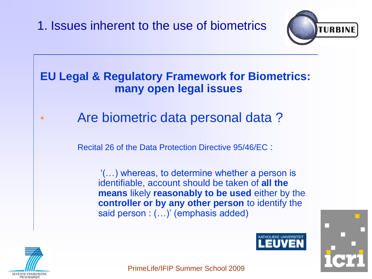

#### **EU Legal & Regulatory Framework for Biometrics: many open legal issues**

• Are biometric data personal data ?

Recital 26 of the Data Protection Directive 95/46/EC :

"(…) whereas, to determine whether a person is identifiable, account should be taken of **all the means** likely **reasonably to be used** either by the **controller or by any other person** to identify the said person : (...)' (emphasis added)





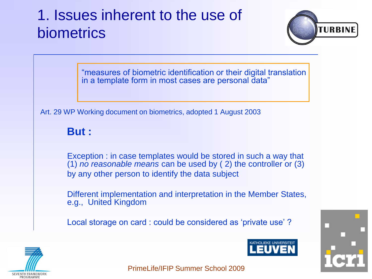

"measures of biometric identification or their digital translation in a template form in most cases are personal data"

Art. 29 WP Working document on biometrics, adopted 1 August 2003

**But :**

Exception : in case templates would be stored in such a way that (1) *no reasonable means* can be used by ( 2) the controller or (3) by any other person to identify the data subject

Different implementation and interpretation in the Member States, e.g., United Kingdom

Local storage on card : could be considered as 'private use'?





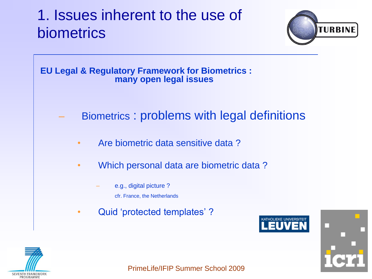



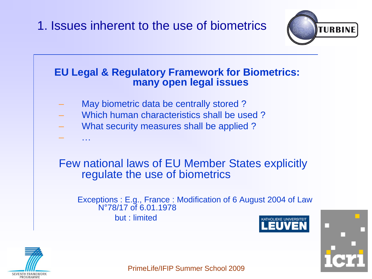

#### **EU Legal & Regulatory Framework for Biometrics: many open legal issues**

- May biometric data be centrally stored?
- Which human characteristics shall be used ?
- What security measures shall be applied ?
- Few national laws of EU Member States explicitly regulate the use of biometrics

Exceptions : E.g., France : Modification of 6 August 2004 of Law N°78/17 of 6.01.1978 but : limited





– …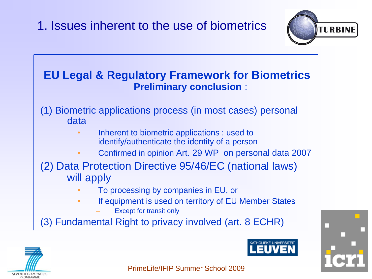

#### **EU Legal & Regulatory Framework for Biometrics Preliminary conclusion** :

(1) Biometric applications process (in most cases) personal data

- Inherent to biometric applications : used to identify/authenticate the identity of a person
- Confirmed in opinion Art. 29 WP on personal data 2007
- (2) Data Protection Directive 95/46/EC (national laws) will apply
	- To processing by companies in EU, or
	- If equipment is used on territory of EU Member States
		- **Except for transit only**

(3) Fundamental Right to privacy involved (art. 8 ECHR)





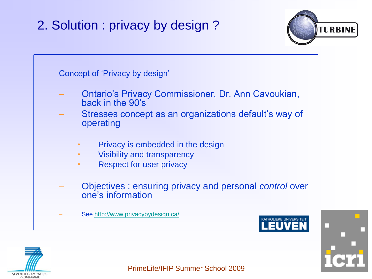

Concept of "Privacy by design"

- Ontario"s Privacy Commissioner, Dr. Ann Cavoukian, back in the 90"s
- Stresses concept as an organizations default's way of operating
	- Privacy is embedded in the design
	- Visibility and transparency
	- Respect for user privacy
- Objectives : ensuring privacy and personal *control* over one"s information
	- See <http://www.privacybydesign.ca/>



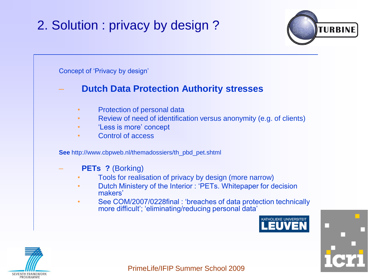

Concept of "Privacy by design"

#### – **Dutch Data Protection Authority stresses**

- Protection of personal data
- Review of need of identification versus anonymity (e.g. of clients)
- 'Less is more' concept
- Control of access

**See** http://www.cbpweb.nl/themadossiers/th\_pbd\_pet.shtml

- **PETs ?** (Borking)
	- Tools for realisation of privacy by design (more narrow)
	- Dutch Ministery of the Interior : "PETs. Whitepaper for decision makers"
	- See COM/2007/0228final : "breaches of data protection technically more difficult"; "eliminating/reducing personal data"



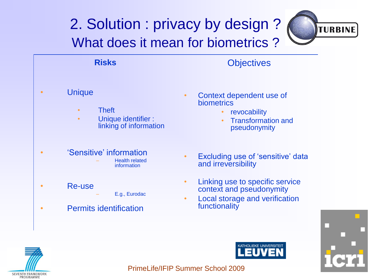## 2. Solution : privacy by design ? What does it mean for biometrics ?



| <b>Risks</b>                                                                                | <b>Objectives</b>                                                                                                                                 |
|---------------------------------------------------------------------------------------------|---------------------------------------------------------------------------------------------------------------------------------------------------|
| <b>Unique</b><br>$\bullet$<br><b>Theft</b><br>$\bullet$<br>Unique identifier :<br>$\bullet$ | Context dependent use of<br><b>biometrics</b><br>revocability<br><b>Transformation and</b><br>$\bullet$<br>linking of information<br>pseudonymity |
| 'Sensitive' information<br>information                                                      | Excluding use of 'sensitive' data<br><b>Health related</b><br>and irreversibility                                                                 |
| Re-use                                                                                      | Linking use to specific service<br>$\bullet$<br>context and pseudonymity<br>E.g., Eurodac<br>Local storage and verification<br>$\bullet$          |
| <b>Permits identification</b>                                                               | functionality                                                                                                                                     |
|                                                                                             | <b>VATUOLICVE LINIMEDOITEIT</b>                                                                                                                   |





ΞU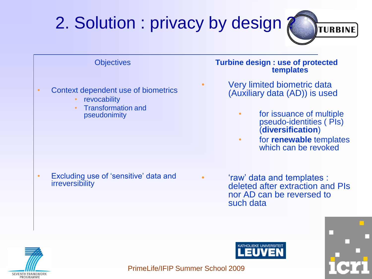





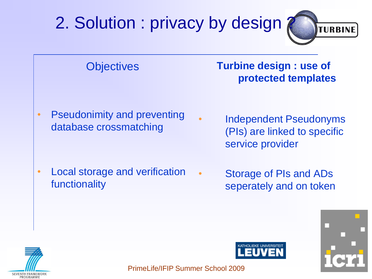







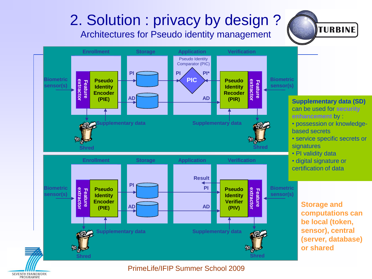

PrimeLife/IFIP Summer School 2009

**SEVENTH FRAMEWORK** PROGRAMME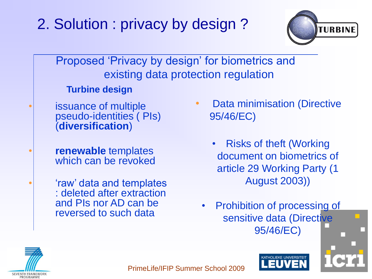

Proposed 'Privacy by design' for biometrics and existing data protection regulation

**Turbine design**

- issuance of multiple pseudo-identities ( PIs) (**diversification**)
- **renewable** templates which can be revoked

'raw' data and templates : deleted after extraction and PIs nor AD can be reversed to such data

- **Data minimisation (Directive** 95/46/EC)
	- Risks of theft (Working document on biometrics of article 29 Working Party (1 August 2003))
	- **Prohibition of processing of** sensitive data (Directive 95/46/EC)



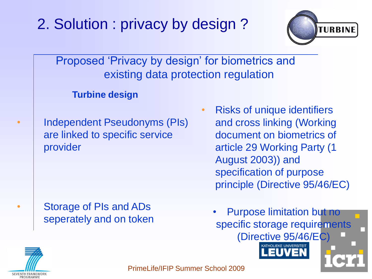

Proposed 'Privacy by design' for biometrics and existing data protection regulation

#### **Turbine design**

• Independent Pseudonyms (PIs) are linked to specific service provider

• Storage of PIs and ADs seperately and on token

- Risks of unique identifiers and cross linking (Working document on biometrics of article 29 Working Party (1 August 2003)) and specification of purpose principle (Directive 95/46/EC)
	- Purpose limitation but no specific storage requirements (Directive 95/46/EC)

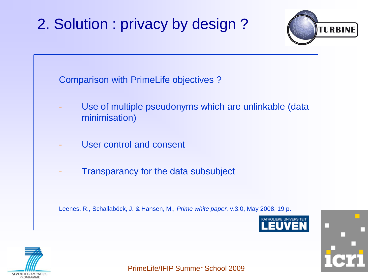

Comparison with PrimeLife objectives ?

- Use of multiple pseudonyms which are unlinkable (data minimisation)
- User control and consent
- Transparancy for the data subsubject

Leenes, R., Schallaböck, J. & Hansen, M., *Prime white paper,* v.3.0, May 2008, 19 p.



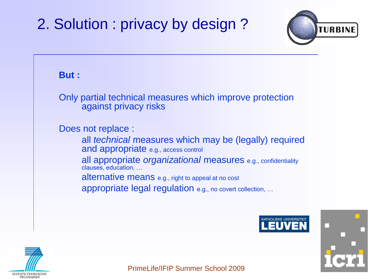

#### **But :**

Only partial technical measures which improve protection against privacy risks

Does not replace :

all *technical* measures which may be (legally) required and appropriate e.g., access control

all appropriate *organizational* measures e.g., confidentiality clauses, education, …

alternative means e.g., right to appeal at no cost

appropriate legal regulation e.g., no covert collection, …





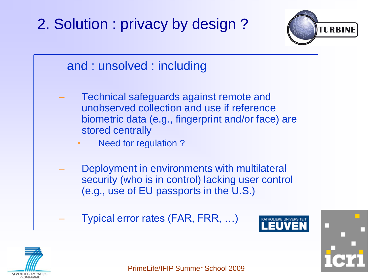



- Technical safeguards against remote and unobserved collection and use if reference biometric data (e.g., fingerprint and/or face) are stored centrally
	- Need for regulation?
- Deployment in environments with multilateral security (who is in control) lacking user control (e.g., use of EU passports in the U.S.)
- Typical error rates (FAR, FRR, …)



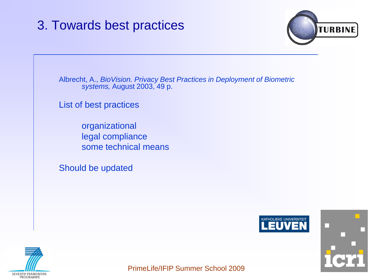

Albrecht, A., *BioVision. Privacy Best Practices in Deployment of Biometric systems,* August 2003, 49 p.

List of best practices

organizational legal compliance some technical means

Should be updated





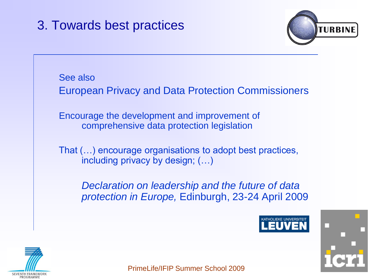

See also European Privacy and Data Protection Commissioners Encourage the development and improvement of comprehensive data protection legislation That (…) encourage organisations to adopt best practices, including privacy by design; (…) *Declaration on leadership and the future of data protection in Europe,* Edinburgh, 23-24 April 2009



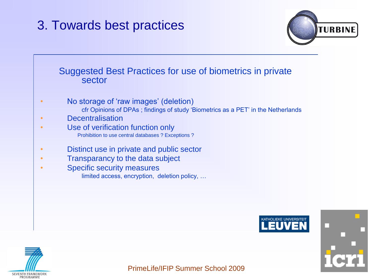

### Suggested Best Practices for use of biometrics in private sector • No storage of 'raw images' (deletion) cfr Opinions of DPAs ; findings of study "Biometrics as a PET" in the Netherlands • Decentralisation • Use of verification function only Prohibition to use central databases ? Exceptions ? • Distinct use in private and public sector • Transparancy to the data subject • Specific security measures limited access, encryption, deletion policy, …





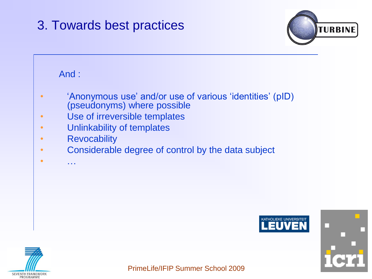

#### And :

- "Anonymous use" and/or use of various "identities" (pID) (pseudonyms) where possible
- Use of irreversible templates
- Unlinkability of templates
- Revocability
- Considerable degree of control by the data subject
- …





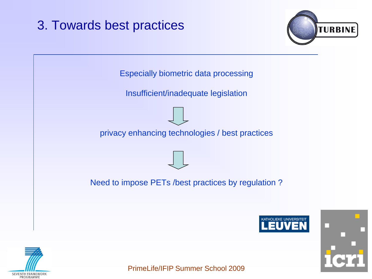



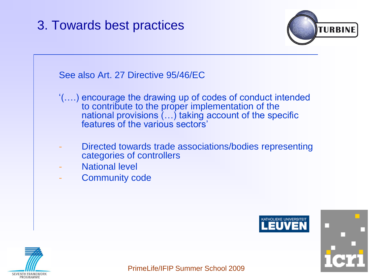

### See also Art. 27 Directive 95/46/EC "(….) encourage the drawing up of codes of conduct intended to contribute to the proper implementation of the national provisions (…) taking account of the specific features of the various sectors'

- Directed towards trade associations/bodies representing categories of controllers
- National level
- Community code





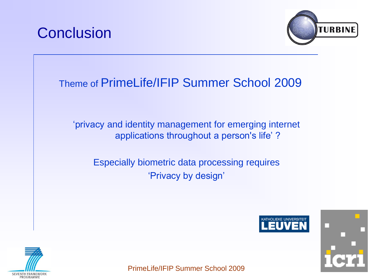



### Theme of PrimeLife/IFIP Summer School 2009

"privacy and identity management for emerging internet applications throughout a person's life'?

Especially biometric data processing requires 'Privacy by design'





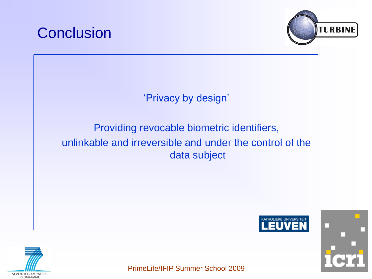



'Privacy by design'

#### Providing revocable biometric identifiers, unlinkable and irreversible and under the control of the data subject





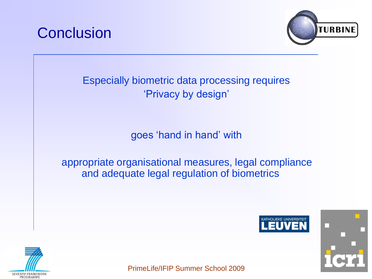



Especially biometric data processing requires 'Privacy by design'

goes "hand in hand" with

appropriate organisational measures, legal compliance and adequate legal regulation of biometrics